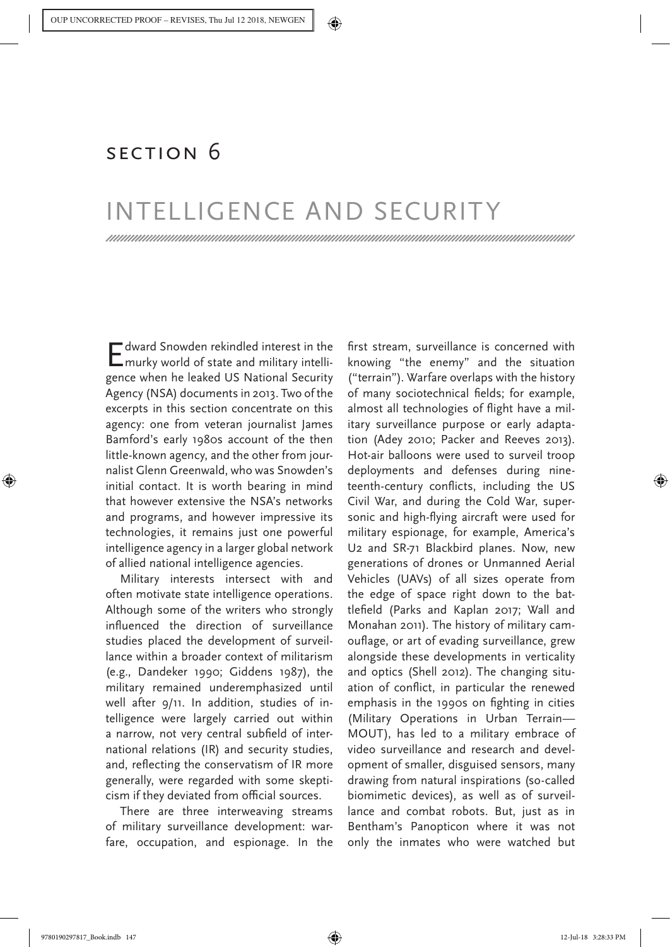Monahan, Torin, and David Murakami Wood. 2018. Intelligence and Security. In Surveillance Studies: A Reader, edited by T. Monahan and D. Murakami Wood. New York: Oxford University Press, 147-151.

## Section 6

## INTELLIGENCE AND SECURITY

Edward Snowden rekindled interest in the murky world of state and military intelligence when he leaked US National Security Agency (NSA) documents in 2013. Two of the excerpts in this section concentrate on this agency: one from veteran journalist James Bamford's early 1980s account of the then little-known agency, and the other from journalist Glenn Greenwald, who was Snowden's initial contact. It is worth bearing in mind that however extensive the NSA's networks and programs, and however impressive its technologies, it remains just one powerful intelligence agency in a larger global network of allied national intelligence agencies.

Military interests intersect with and often motivate state intelligence operations. Although some of the writers who strongly influenced the direction of surveillance studies placed the development of surveillance within a broader context of militarism (e.g., Dandeker 1990; Giddens 1987), the military remained underemphasized until well after 9/11. In addition, studies of intelligence were largely carried out within a narrow, not very central subfield of international relations (IR) and security studies, and, reflecting the conservatism of IR more generally, were regarded with some skepticism if they deviated from official sources.

There are three interweaving streams of military surveillance development: warfare, occupation, and espionage. In the

first stream, surveillance is concerned with knowing "the enemy" and the situation ("terrain"). Warfare overlaps with the history of many sociotechnical fields; for example, almost all technologies of flight have a military surveillance purpose or early adaptation (Adey 2010; Packer and Reeves 2013). Hot-air balloons were used to surveil troop deployments and defenses during nineteenth-century conflicts, including the US Civil War, and during the Cold War, supersonic and high-flying aircraft were used for military espionage, for example, America's U2 and SR-71 Blackbird planes. Now, new generations of drones or Unmanned Aerial Vehicles (UAVs) of all sizes operate from the edge of space right down to the battlefield (Parks and Kaplan 2017; Wall and Monahan 2011). The history of military camouflage, or art of evading surveillance, grew alongside these developments in verticality and optics (Shell 2012). The changing situation of conflict, in particular the renewed emphasis in the 1990s on fighting in cities (Military Operations in Urban Terrain— MOUT), has led to a military embrace of video surveillance and research and development of smaller, disguised sensors, many drawing from natural inspirations (so-called biomimetic devices), as well as of surveillance and combat robots. But, just as in Bentham's Panopticon where it was not only the inmates who were watched but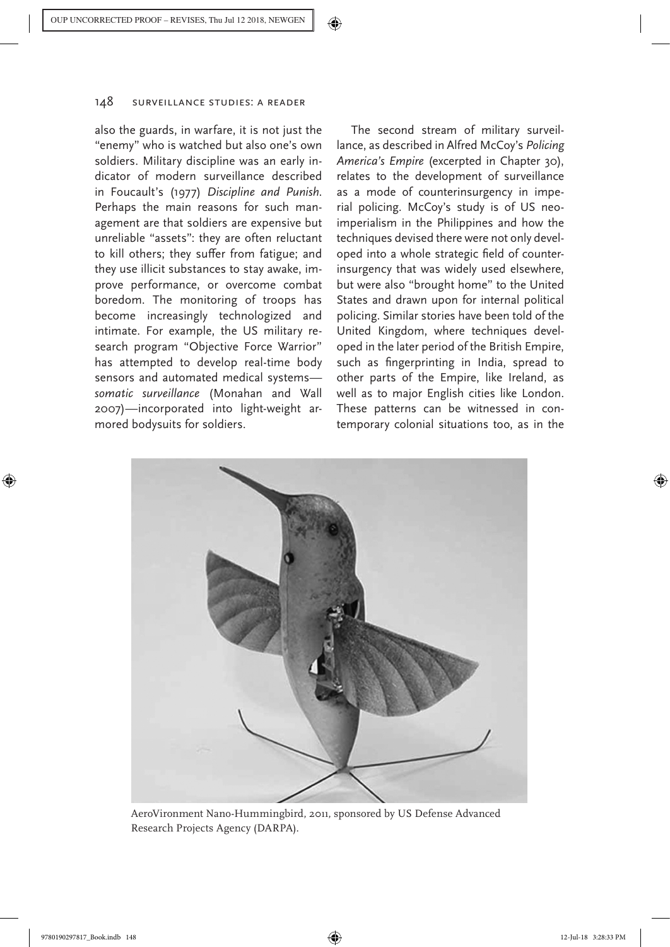also the guards, in warfare, it is not just the "enemy" who is watched but also one's own soldiers. Military discipline was an early indicator of modern surveillance described in Foucault's (1977) *Discipline and Punish*. Perhaps the main reasons for such management are that soldiers are expensive but unreliable "assets": they are often reluctant to kill others; they suffer from fatigue; and they use illicit substances to stay awake, improve performance, or overcome combat boredom. The monitoring of troops has become increasingly technologized and intimate. For example, the US military research program "Objective Force Warrior" has attempted to develop real-time body sensors and automated medical systems *somatic surveillance* (Monahan and Wall 2007)—incorporated into light-weight armored bodysuits for soldiers.

The second stream of military surveillance, as described in Alfred McCoy's *Policing America's Empire* (excerpted in Chapter 30), relates to the development of surveillance as a mode of counterinsurgency in imperial policing. McCoy's study is of US neoimperialism in the Philippines and how the techniques devised there were not only developed into a whole strategic field of counterinsurgency that was widely used elsewhere, but were also "brought home" to the United States and drawn upon for internal political policing. Similar stories have been told of the United Kingdom, where techniques developed in the later period of the British Empire, such as fingerprinting in India, spread to other parts of the Empire, like Ireland, as well as to major English cities like London. These patterns can be witnessed in contemporary colonial situations too, as in the



AeroVironment Nano-Hummingbird, 2011, sponsored by US Defense Advanced Research Projects Agency (DARPA).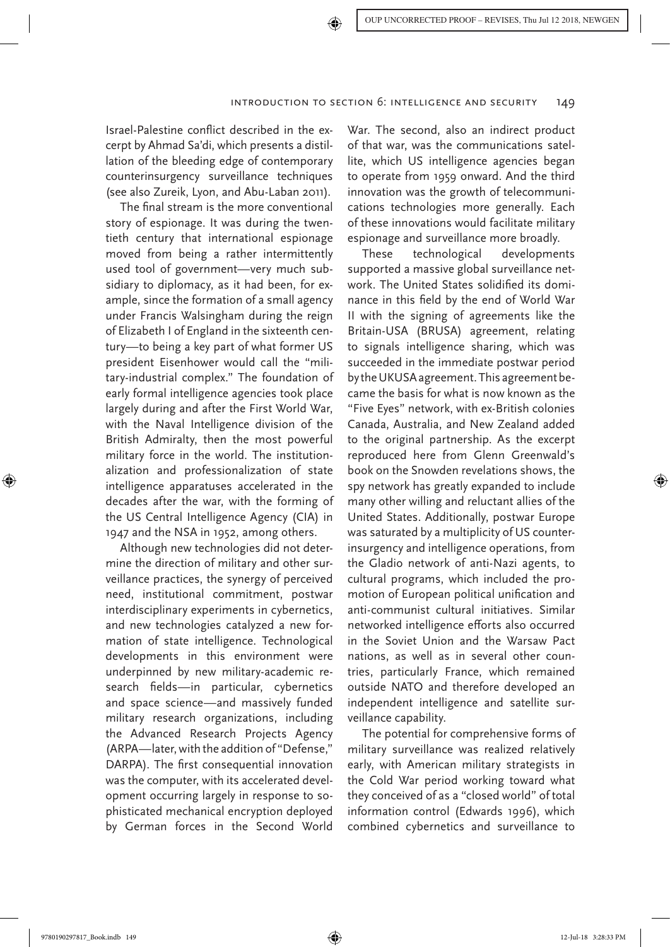Israel-Palestine conflict described in the excerpt by Ahmad Sa'di, which presents a distillation of the bleeding edge of contemporary counterinsurgency surveillance techniques (see also Zureik, Lyon, and Abu-Laban 2011).

The final stream is the more conventional story of espionage. It was during the twentieth century that international espionage moved from being a rather intermittently used tool of government—very much subsidiary to diplomacy, as it had been, for example, since the formation of a small agency under Francis Walsingham during the reign of Elizabeth I of England in the sixteenth century—to being a key part of what former US president Eisenhower would call the "military-industrial complex." The foundation of early formal intelligence agencies took place largely during and after the First World War, with the Naval Intelligence division of the British Admiralty, then the most powerful military force in the world. The institutionalization and professionalization of state intelligence apparatuses accelerated in the decades after the war, with the forming of the US Central Intelligence Agency (CIA) in 1947 and the NSA in 1952, among others.

Although new technologies did not determine the direction of military and other surveillance practices, the synergy of perceived need, institutional commitment, postwar interdisciplinary experiments in cybernetics, and new technologies catalyzed a new formation of state intelligence. Technological developments in this environment were underpinned by new military-academic research fields—in particular, cybernetics and space science—and massively funded military research organizations, including the Advanced Research Projects Agency (ARPA—later, with the addition of "Defense," DARPA). The first consequential innovation was the computer, with its accelerated development occurring largely in response to sophisticated mechanical encryption deployed by German forces in the Second World

War. The second, also an indirect product of that war, was the communications satellite, which US intelligence agencies began to operate from 1959 onward. And the third innovation was the growth of telecommunications technologies more generally. Each of these innovations would facilitate military espionage and surveillance more broadly.

These technological developments supported a massive global surveillance network. The United States solidified its dominance in this field by the end of World War II with the signing of agreements like the Britain-USA (BRUSA) agreement, relating to signals intelligence sharing, which was succeeded in the immediate postwar period by the UKUSA agreement. This agreement became the basis for what is now known as the "Five Eyes" network, with ex-British colonies Canada, Australia, and New Zealand added to the original partnership. As the excerpt reproduced here from Glenn Greenwald's book on the Snowden revelations shows, the spy network has greatly expanded to include many other willing and reluctant allies of the United States. Additionally, postwar Europe was saturated by a multiplicity of US counterinsurgency and intelligence operations, from the Gladio network of anti-Nazi agents, to cultural programs, which included the promotion of European political unification and anti-communist cultural initiatives. Similar networked intelligence efforts also occurred in the Soviet Union and the Warsaw Pact nations, as well as in several other countries, particularly France, which remained outside NATO and therefore developed an independent intelligence and satellite surveillance capability.

The potential for comprehensive forms of military surveillance was realized relatively early, with American military strategists in the Cold War period working toward what they conceived of as a "closed world" of total information control (Edwards 1996), which combined cybernetics and surveillance to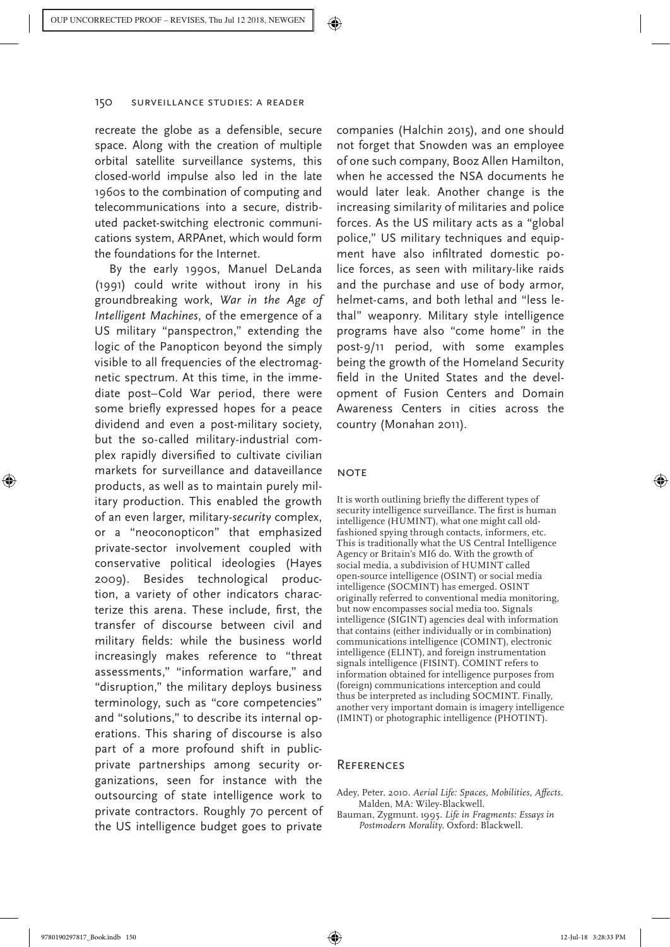recreate the globe as a defensible, secure space. Along with the creation of multiple orbital satellite surveillance systems, this closed-world impulse also led in the late 1960s to the combination of computing and telecommunications into a secure, distributed packet-switching electronic communications system, ARPAnet, which would form the foundations for the Internet.

By the early 1990s, Manuel DeLanda (1991) could write without irony in his groundbreaking work, *War in the Age of Intelligent Machines*, of the emergence of a US military "panspectron," extending the logic of the Panopticon beyond the simply visible to all frequencies of the electromagnetic spectrum. At this time, in the immediate post–Cold War period, there were some briefly expressed hopes for a peace dividend and even a post-military society, but the so-called military-industrial complex rapidly diversified to cultivate civilian markets for surveillance and dataveillance products, as well as to maintain purely military production. This enabled the growth of an even larger, military-*security* complex, or a "neoconopticon" that emphasized private-sector involvement coupled with conservative political ideologies (Hayes 2009). Besides technological production, a variety of other indicators characterize this arena. These include, first, the transfer of discourse between civil and military fields: while the business world increasingly makes reference to "threat assessments," "information warfare," and "disruption," the military deploys business terminology, such as "core competencies" and "solutions," to describe its internal operations. This sharing of discourse is also part of a more profound shift in publicprivate partnerships among security organizations, seen for instance with the outsourcing of state intelligence work to private contractors. Roughly 70 percent of the US intelligence budget goes to private

companies (Halchin 2015), and one should not forget that Snowden was an employee of one such company, Booz Allen Hamilton, when he accessed the NSA documents he would later leak. Another change is the increasing similarity of militaries and police forces. As the US military acts as a "global police," US military techniques and equipment have also infiltrated domestic police forces, as seen with military-like raids and the purchase and use of body armor, helmet-cams, and both lethal and "less lethal" weaponry. Military style intelligence programs have also "come home" in the post-9/11 period, with some examples being the growth of the Homeland Security field in the United States and the development of Fusion Centers and Domain Awareness Centers in cities across the country (Monahan 2011).

## **NOTE**

It is worth outlining briefly the different types of security intelligence surveillance. The first is human intelligence (HUMINT), what one might call oldfashioned spying through contacts, informers, etc. This is traditionally what the US Central Intelligence Agency or Britain's MI6 do. With the growth of social media, a subdivision of HUMINT called open-source intelligence (OSINT) or social media intelligence (SOCMINT) has emerged. OSINT originally referred to conventional media monitoring, but now encompasses social media too. Signals intelligence (SIGINT) agencies deal with information that contains (either individually or in combination) communications intelligence (COMINT), electronic intelligence (ELINT), and foreign instrumentation signals intelligence (FISINT). COMINT refers to information obtained for intelligence purposes from (foreign) communications interception and could thus be interpreted as including SOCMINT. Finally, another very important domain is imagery intelligence (IMINT) or photographic intelligence (PHOTINT).

## **REFERENCES**

- Adey, Peter. 2010. *Aerial Life: Spaces, Mobilities, Affects*. Malden, MA: Wiley-Blackwell.
- Bauman, Zygmunt. 1995. *Life in Fragments: Essays in Postmodern Morality*. Oxford: Blackwell.